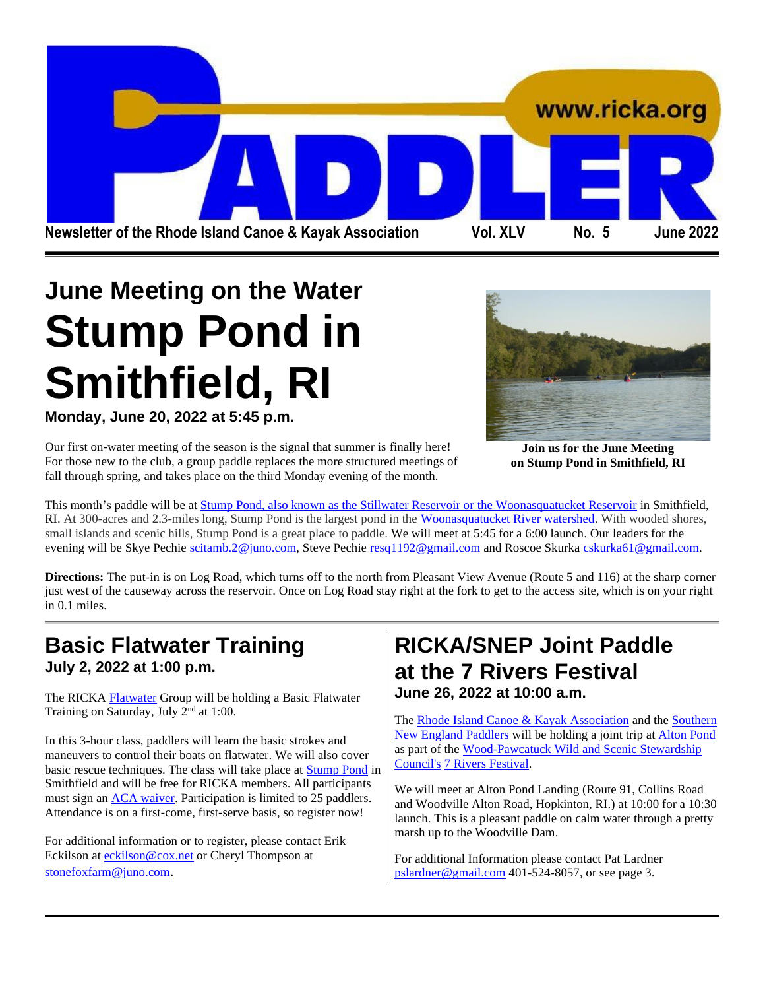

# **June Meeting on the Water Stump Pond in Smithfield, RI**

**Monday, June 20, 2022 at 5:45 p.m.**

Our first on-water meeting of the season is the signal that summer is finally here! For those new to the club, a group paddle replaces the more structured meetings of fall through spring, and takes place on the third Monday evening of the month.



**Join us for the June Meeting on Stump Pond in Smithfield, RI**

This month's paddle will be a[t Stump Pond, also known as the Stillwater Reservoir or the Woonasquatucket Reservoir](https://exploreri.org/siteReport.php?siteID=6&src=criteria) in Smithfield, RI. At 300-acres and 2.3-miles long, Stump Pond is the largest pond in the [Woonasquatucket River watershed.](https://wrwc.org/wp/) With wooded shores, small islands and scenic hills, Stump Pond is a great place to paddle. We will meet at 5:45 for a 6:00 launch. Our leaders for the evening will be Skye Pechie [scitamb.2@juno.com,](mailto:scitamb.2@juno.com) Steve Pechie [resq1192@gmail.com](mailto:resq1192@gmail.com) and Roscoe Skurk[a cskurka61@gmail.com.](mailto:cskurka61@gmail.com)

**Directions:** The put-in is on Log Road, which turns off to the north from Pleasant View Avenue (Route 5 and 116) at the sharp corner just west of the causeway across the reservoir. Once on Log Road stay right at the fork to get to the access site, which is on your right in 0.1 miles.

### **Basic Flatwater Training July 2, 2022 at 1:00 p.m.**

The RICK[A Flatwater](http://www.ricka-flatwater.org/) Group will be holding a Basic Flatwater Training on Saturday, July 2<sup>nd</sup> at 1:00.

In this 3-hour class, paddlers will learn the basic strokes and maneuvers to control their boats on flatwater. We will also cover basic rescue techniques. The class will take place at [Stump Pond](https://exploreri.org/siteReport.php?siteID=6&src=criteria) in Smithfield and will be free for RICKA members. All participants must sign an [ACA waiver.](https://cdn.ymaws.com/www.americancanoe.org/resource/resmgr/insurance-documents/adultwaiver2021_english_.pdf) Participation is limited to 25 paddlers. Attendance is on a first-come, first-serve basis, so register now!

For additional information or to register, please contact Erik Eckilson at **[eckilson@cox.net](mailto:eckilson@cox.net)** or Cheryl Thompson at [stonefoxfarm@juno.com](mailto:stonefoxfarm@juno.com).

### **RICKA/SNEP Joint Paddle at the 7 Rivers Festival June 26, 2022 at 10:00 a.m.**

The [Rhode Island Canoe & Kayak Association](http://www.ricka.org/) and the Southern [New England Paddlers](https://www.meetup.com/KayakFun/) will be holding a joint trip at [Alton Pond](https://exploreri.org/siteReport.php?siteID=137&src=criteria) as part of the [Wood-Pawcatuck Wild and Scenic Stewardship](https://wpwildrivers.org/)  [Council's](https://wpwildrivers.org/) [7 Rivers Festival.](https://wpwildrivers.org/7-rivers-festival/)

We will meet at Alton Pond Landing (Route 91, Collins Road and Woodville Alton Road, Hopkinton, RI.) at 10:00 for a 10:30 launch. This is a pleasant paddle on calm water through a pretty marsh up to the Woodville Dam.

For additional Information please contact Pat Lardner [pslardner@gmail.com](mailto:pslardner@gmail.com) 401-524-8057, or see page 3.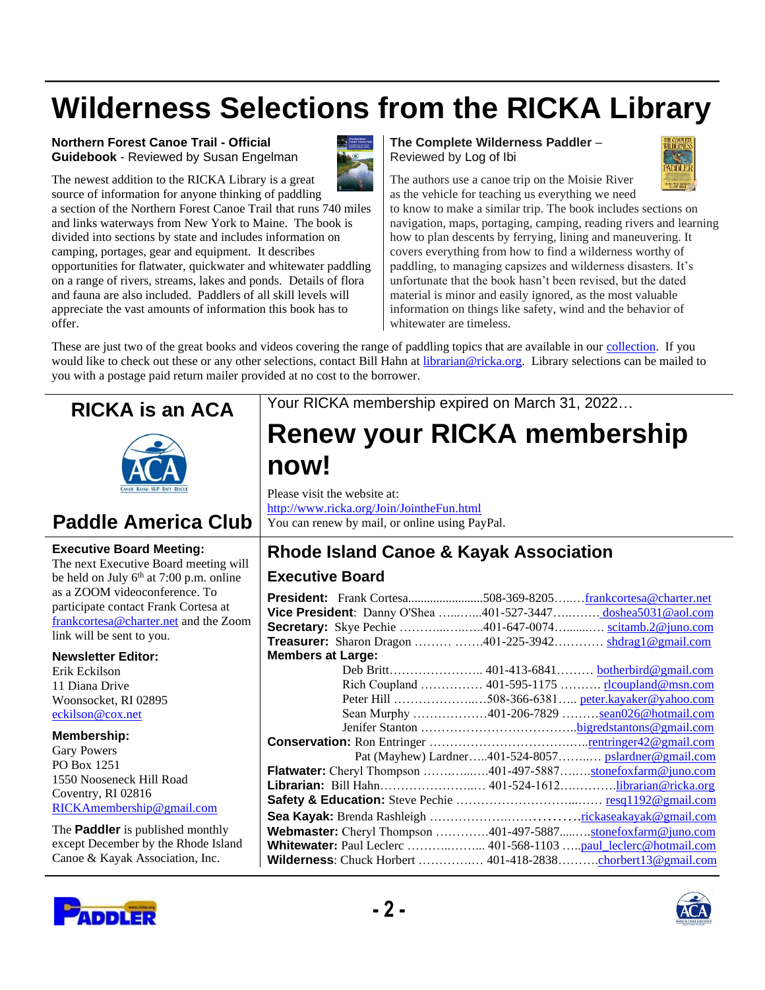# **Wilderness Selections from the RICKA Library**

#### **Northern Forest Canoe Trail - Official Guidebook** - Reviewed by Susan Engelman



The newest addition to the RICKA Library is a great source of information for anyone thinking of paddling

a section of the Northern Forest Canoe Trail that runs 740 miles and links waterways from New York to Maine. The book is divided into sections by state and includes information on camping, portages, gear and equipment. It describes opportunities for flatwater, quickwater and whitewater paddling on a range of rivers, streams, lakes and ponds. Details of flora and fauna are also included. Paddlers of all skill levels will appreciate the vast amounts of information this book has to offer.

**The Complete Wilderness Paddler** – Reviewed by Log of Ibi



The authors use a canoe trip on the Moisie River as the vehicle for teaching us everything we need

to know to make a similar trip. The book includes sections on navigation, maps, portaging, camping, reading rivers and learning how to plan descents by ferrying, lining and maneuvering. It covers everything from how to find a wilderness worthy of paddling, to managing capsizes and wilderness disasters. It's unfortunate that the book hasn't been revised, but the dated material is minor and easily ignored, as the most valuable information on things like safety, wind and the behavior of whitewater are timeless.

These are just two of the great books and videos covering the range of paddling topics that are available in our [collection.](http://www.ricka.org/ricka_library/Library.html) If you would like to check out these or any other selections, contact Bill Hahn at [librarian@ricka.org.](mailto:librarian@ricka.org) Library selections can be mailed to you with a postage paid return mailer provided at no cost to the borrower.





### **Paddle America Club**

#### **Executive Board Meeting:**

The next Executive Board meeting will be held on July  $6<sup>th</sup>$  at 7:00 p.m. online as a ZOOM videoconference. To participate contact Frank Cortesa at [frankcortesa@charter.net](mailto:frankcortesa@charter.net) and the Zoom link will be sent to you.

#### **Newsletter Editor:**

Erik Eckilson 11 Diana Drive Woonsocket, RI 02895 [eckilson@cox.net](mailto:eckilson@cox.net)

#### **Membership:**

Gary Powers PO Box 1251 1550 Nooseneck Hill Road Coventry, RI 02816 [RICKAmembership@gmail.com](mailto:RICKAmembership@gmail.com)

The **Paddler** is published monthly except December by the Rhode Island Canoe & Kayak Association, Inc.



Your RICKA membership expired on March 31, 2022…

## **Renew your RICKA membership now!**

Please visit the website at: <http://www.ricka.org/Join/JointheFun.html> You can renew by mail, or online using PayPal.

### **Rhode Island Canoe & Kayak Association**

#### **Executive Board**

| <b>President:</b> Frank Cortesa508-369-8205frankcortesa@charter.net |                                                      |
|---------------------------------------------------------------------|------------------------------------------------------|
| Vice President: Danny O'Shea 401-527-3447doshea5031@aol.com         |                                                      |
| Secretary: Skye Pechie 401-647-0074 scitamb.2@juno.com              |                                                      |
| <b>Treasurer:</b> Sharon Dragon  401-225-3942 shdrag1@gmail.com     |                                                      |
| <b>Members at Large:</b>                                            |                                                      |
|                                                                     | Deb Britt 401-413-6841 botherbird@gmail.com          |
|                                                                     | Rich Coupland  401-595-1175  rlcoupland@msn.com      |
|                                                                     | Peter Hill 508-366-6381 peter.kayaker@yahoo.com      |
|                                                                     | Sean Murphy 401-206-7829 <u>sean026@hotmail.com</u>  |
|                                                                     |                                                      |
|                                                                     |                                                      |
|                                                                     | Pat (Mayhew) Lardner401-524-8057 pslardner@gmail.com |
| Flatwater: Cheryl Thompson 401-497-5887stonefoxfarm@juno.com        |                                                      |
| Librarian: Bill Hahn 401-524-1612librarian@ricka.org                |                                                      |
|                                                                     |                                                      |
|                                                                     |                                                      |
| Webmaster: Cheryl Thompson 401-497-5887stonefoxfarm@juno.com        |                                                      |
| Whitewater: Paul Leclerc  401-568-1103 paul_leclerc@hotmail.com     |                                                      |
| Wilderness: Chuck Horbert  401-418-2838chorbert13@gmail.com         |                                                      |

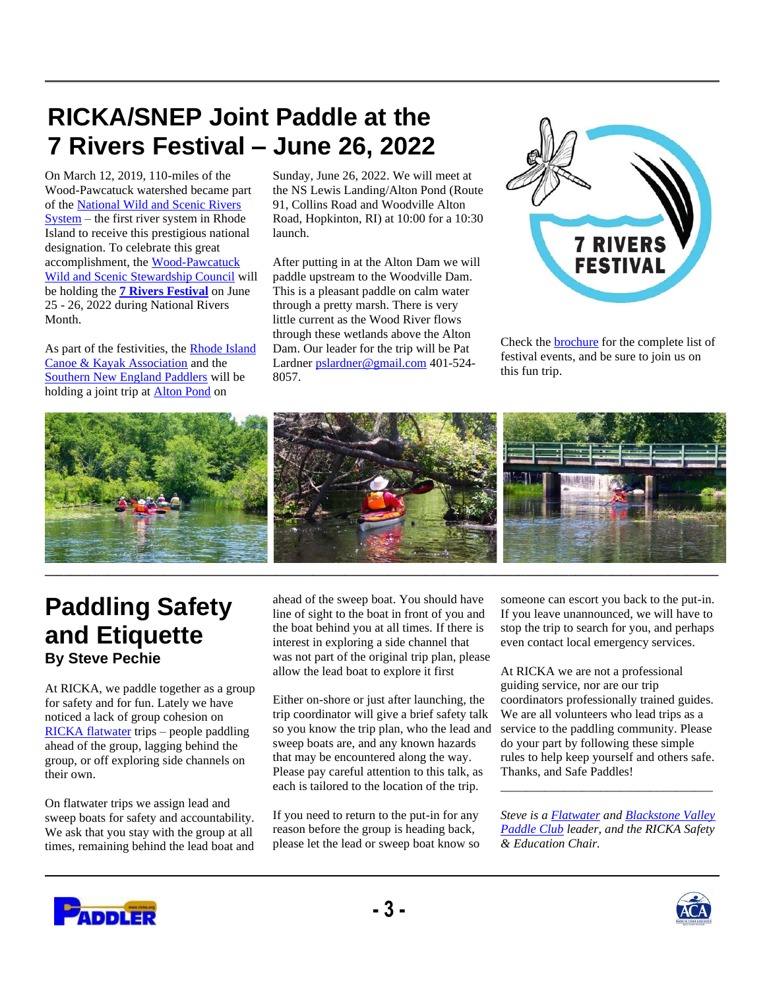## **RICKA/SNEP Joint Paddle at the 7 Rivers Festival – June 26, 2022**

On March 12, 2019, 110-miles of the Wood-Pawcatuck watershed became part of th[e National Wild and Scenic Rivers](https://www.rivers.gov/)  [System](https://www.rivers.gov/) – the first river system in Rhode Island to receive this prestigious national designation. To celebrate this great accomplishment, the [Wood-Pawcatuck](https://wpwildrivers.org/)  [Wild and Scenic Stewardship Council](https://wpwildrivers.org/) will be holding the **[7 Rivers Festival](https://wpwildrivers.org/7-rivers-festival/)** on June 25 - 26, 2022 during National Rivers Month.

As part of the festivities, the Rhode Island [Canoe & Kayak Association](http://ricka.org/) and the [Southern New England Paddlers](https://www.meetup.com/KayakFun/) will be holding a joint trip at [Alton Pond](https://exploreri.org/siteReport.php?siteID=137&src=criteria) on

Sunday, June 26, 2022. We will meet at the NS Lewis Landing/Alton Pond (Route 91, Collins Road and Woodville Alton Road, Hopkinton, RI) at 10:00 for a 10:30 launch.

After putting in at the Alton Dam we will paddle upstream to the Woodville Dam. This is a pleasant paddle on calm water through a pretty marsh. There is very little current as the Wood River flows through these wetlands above the Alton Dam. Our leader for the trip will be Pat Lardne[r pslardner@gmail.com](mailto:pslardner@gmail.com) 401-524- 8057.



Check th[e brochure](https://wpwildrivers.org/wp-content/uploads/2022/05/7-Rivers-Festival-Brochure-Final.pdf) for the complete list of festival events, and be sure to join us on this fun trip.



## **Paddling Safety and Etiquette By Steve Pechie**

At RICKA, we paddle together as a group for safety and for fun. Lately we have noticed a lack of group cohesion on [RICKA flatwater](http://www.ricka-flatwater.org/) trips – people paddling ahead of the group, lagging behind the group, or off exploring side channels on their own.

On flatwater trips we assign lead and sweep boats for safety and accountability. We ask that you stay with the group at all times, remaining behind the lead boat and ahead of the sweep boat. You should have line of sight to the boat in front of you and the boat behind you at all times. If there is interest in exploring a side channel that was not part of the original trip plan, please allow the lead boat to explore it first

Either on-shore or just after launching, the trip coordinator will give a brief safety talk so you know the trip plan, who the lead and sweep boats are, and any known hazards that may be encountered along the way. Please pay careful attention to this talk, as each is tailored to the location of the trip.

If you need to return to the put-in for any reason before the group is heading back, please let the lead or sweep boat know so

someone can escort you back to the put-in. If you leave unannounced, we will have to stop the trip to search for you, and perhaps even contact local emergency services.

At RICKA we are not a professional guiding service, nor are our trip coordinators professionally trained guides. We are all volunteers who lead trips as a service to the paddling community. Please do your part by following these simple rules to help keep yourself and others safe. Thanks, and Safe Paddles!

*Steve is a [Flatwater](http://www.ricka-flatwater.org/) an[d Blackstone Valley](http://www.ricka-flatwater.org/bvpaddlers.htm)  [Paddle Club](http://www.ricka-flatwater.org/bvpaddlers.htm) leader, and the RICKA Safety & Education Chair.*

\_\_\_\_\_\_\_\_\_\_\_\_\_\_\_\_\_\_\_\_\_\_\_\_\_\_\_\_\_\_\_\_\_\_



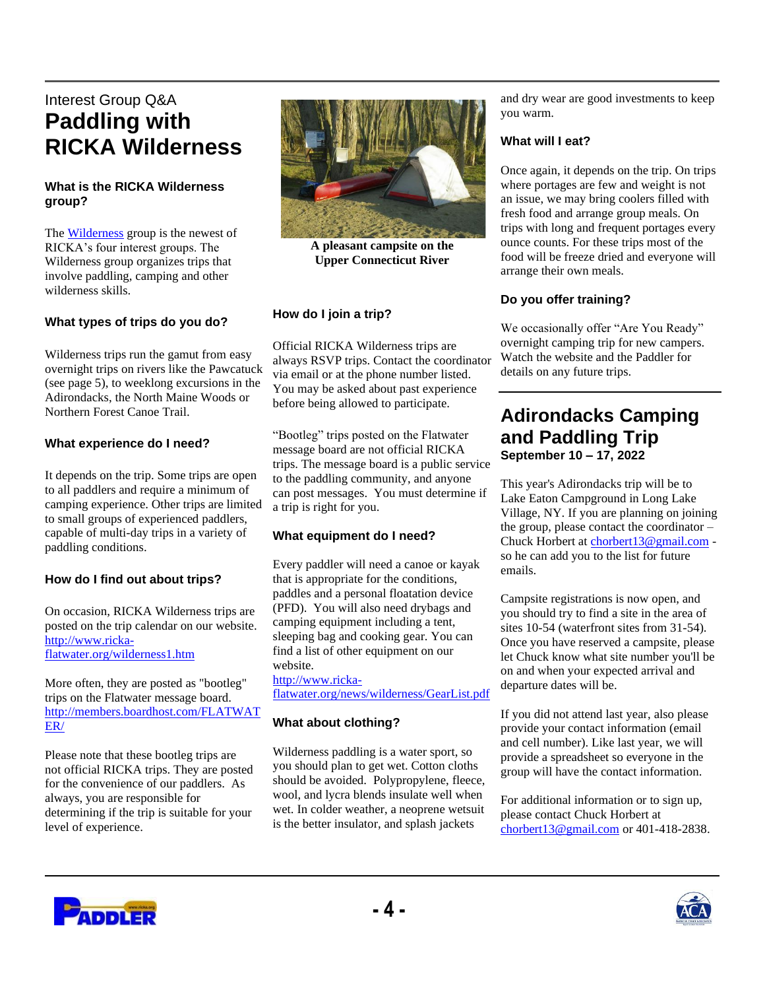### Interest Group Q&A **Paddling with RICKA Wilderness**

#### **What is the RICKA Wilderness group?**

The [Wilderness](http://ricka-flatwater.org/wilderness1.htm) group is the newest of RICKA's four interest groups. The Wilderness group organizes trips that involve paddling, camping and other wilderness skills.

#### **What types of trips do you do?**

Wilderness trips run the gamut from easy overnight trips on rivers like the Pawcatuck (see page 5), to weeklong excursions in the Adirondacks, the North Maine Woods or Northern Forest Canoe Trail.

#### **What experience do I need?**

It depends on the trip. Some trips are open to all paddlers and require a minimum of camping experience. Other trips are limited to small groups of experienced paddlers, capable of multi-day trips in a variety of paddling conditions.

#### **How do I find out about trips?**

On occasion, RICKA Wilderness trips are posted on the trip calendar on our website. [http://www.ricka](http://www.ricka-flatwater.org/wilderness1.htm)[flatwater.org/wilderness1.htm](http://www.ricka-flatwater.org/wilderness1.htm)

More often, they are posted as "bootleg" trips on the Flatwater message board. [http://members.boardhost.com/FLATWAT](http://members.boardhost.com/FLATWATER/) [ER/](http://members.boardhost.com/FLATWATER/)

Please note that these bootleg trips are not official RICKA trips. They are posted for the convenience of our paddlers. As always, you are responsible for determining if the trip is suitable for your level of experience.



**A pleasant campsite on the Upper Connecticut River**

#### **How do I join a trip?**

Official RICKA Wilderness trips are always RSVP trips. Contact the coordinator via email or at the phone number listed. You may be asked about past experience before being allowed to participate.

"Bootleg" trips posted on the Flatwater message board are not official RICKA trips. The message board is a public service to the paddling community, and anyone can post messages. You must determine if a trip is right for you.

#### **What equipment do I need?**

Every paddler will need a canoe or kayak that is appropriate for the conditions, paddles and a personal floatation device (PFD). You will also need drybags and camping equipment including a tent, sleeping bag and cooking gear. You can find a list of other equipment on our website.

[http://www.ricka](http://www.ricka-flatwater.org/news/wilderness/GearList.pdf)[flatwater.org/news/wilderness/GearList.pdf](http://www.ricka-flatwater.org/news/wilderness/GearList.pdf)

#### **What about clothing?**

Wilderness paddling is a water sport, so you should plan to get wet. Cotton cloths should be avoided. Polypropylene, fleece, wool, and lycra blends insulate well when wet. In colder weather, a neoprene wetsuit is the better insulator, and splash jackets

and dry wear are good investments to keep you warm.

#### **What will I eat?**

Once again, it depends on the trip. On trips where portages are few and weight is not an issue, we may bring coolers filled with fresh food and arrange group meals. On trips with long and frequent portages every ounce counts. For these trips most of the food will be freeze dried and everyone will arrange their own meals.

#### **Do you offer training?**

We occasionally offer "Are You Ready" overnight camping trip for new campers. Watch the website and the Paddler for details on any future trips.

#### **Adirondacks Camping and Paddling Trip September 10 – 17, 2022**

This year's Adirondacks trip will be to Lake Eaton Campground in Long Lake Village, NY. If you are planning on joining the group, please contact the coordinator – Chuck Horbert a[t chorbert13@gmail.com](mailto:chorbert13@gmail.com) so he can add you to the list for future emails.

Campsite registrations is now open, and you should try to find a site in the area of sites 10-54 (waterfront sites from 31-54). Once you have reserved a campsite, please let Chuck know what site number you'll be on and when your expected arrival and departure dates will be.

If you did not attend last year, also please provide your contact information (email and cell number). Like last year, we will provide a spreadsheet so everyone in the group will have the contact information.

For additional information or to sign up, please contact Chuck Horbert at [chorbert13@gmail.com](mailto:chorbert13@gmail.com) or 401-418-2838.



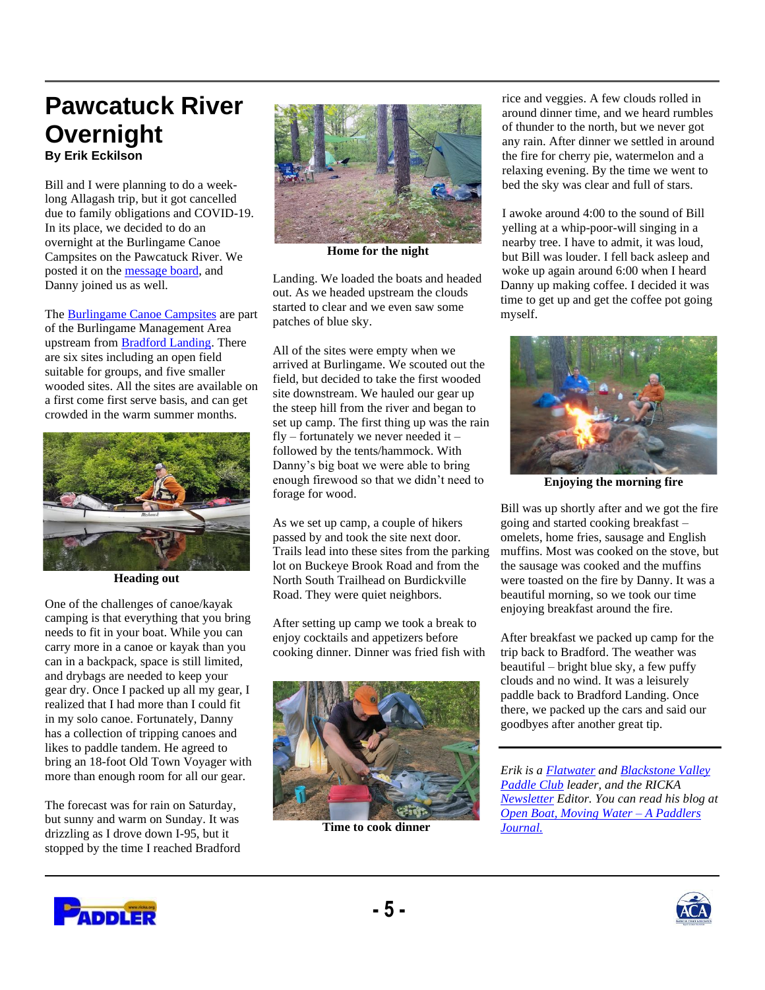## **Pawcatuck River Overnight**

**By Erik Eckilson** 

Bill and I were planning to do a weeklong Allagash trip, but it got cancelled due to family obligations and COVID-19. In its place, we decided to do an overnight at the Burlingame Canoe Campsites on the Pawcatuck River. We posted it on the [message board,](https://members.boardhost.com/FLATWATER/) and Danny joined us as well.

The [Burlingame Canoe Campsites](https://exploreri.org/siteReport.php?siteID=349&src=criteria) are part of the Burlingame Management Area upstream from [Bradford Landing.](https://exploreri.org/siteReport.php?siteID=153&src=criteria) There are six sites including an open field suitable for groups, and five smaller wooded sites. All the sites are available on a first come first serve basis, and can get crowded in the warm summer months.



**Heading out**

One of the challenges of canoe/kayak camping is that everything that you bring needs to fit in your boat. While you can carry more in a canoe or kayak than you can in a backpack, space is still limited, and drybags are needed to keep your gear dry. Once I packed up all my gear, I realized that I had more than I could fit in my solo canoe. Fortunately, Danny has a collection of tripping canoes and likes to paddle tandem. He agreed to bring an 18-foot Old Town Voyager with more than enough room for all our gear.

The forecast was for rain on Saturday, but sunny and warm on Sunday. It was drizzling as I drove down I-95, but it stopped by the time I reached Bradford



**Home for the night**

Landing. We loaded the boats and headed out. As we headed upstream the clouds started to clear and we even saw some patches of blue sky.

All of the sites were empty when we arrived at Burlingame. We scouted out the field, but decided to take the first wooded site downstream. We hauled our gear up the steep hill from the river and began to set up camp. The first thing up was the rain fly – fortunately we never needed it – followed by the tents/hammock. With Danny's big boat we were able to bring enough firewood so that we didn't need to forage for wood.

As we set up camp, a couple of hikers passed by and took the site next door. Trails lead into these sites from the parking lot on Buckeye Brook Road and from the North South Trailhead on Burdickville Road. They were quiet neighbors.

After setting up camp we took a break to enjoy cocktails and appetizers before cooking dinner. Dinner was fried fish with



**Time to cook dinner**

rice and veggies. A few clouds rolled in around dinner time, and we heard rumbles of thunder to the north, but we never got any rain. After dinner we settled in around the fire for cherry pie, watermelon and a relaxing evening. By the time we went to bed the sky was clear and full of stars.

I awoke around 4:00 to the sound of Bill yelling at a whip-poor-will singing in a nearby tree. I have to admit, it was loud, but Bill was louder. I fell back asleep and woke up again around 6:00 when I heard Danny up making coffee. I decided it was time to get up and get the coffee pot going myself.



**Enjoying the morning fire**

Bill was up shortly after and we got the fire going and started cooking breakfast – omelets, home fries, sausage and English muffins. Most was cooked on the stove, but the sausage was cooked and the muffins were toasted on the fire by Danny. It was a beautiful morning, so we took our time enjoying breakfast around the fire.

After breakfast we packed up camp for the trip back to Bradford. The weather was beautiful – bright blue sky, a few puffy clouds and no wind. It was a leisurely paddle back to Bradford Landing. Once there, we packed up the cars and said our goodbyes after another great tip.

*Erik is a [Flatwater](http://www.ricka-flatwater.org/) an[d Blackstone Valley](http://www.ricka-flatwater.org/bvpaddlers.htm)  [Paddle Club](http://www.ricka-flatwater.org/bvpaddlers.htm) leader, and the RICKA [Newsletter](http://ricka.org/paddler/paddler/PaddlerList.HTML) Editor. You can read his blog at [Open Boat, Moving Water –](http://eckilson.blogspot.com/) A Paddlers [Journal.](http://eckilson.blogspot.com/)*





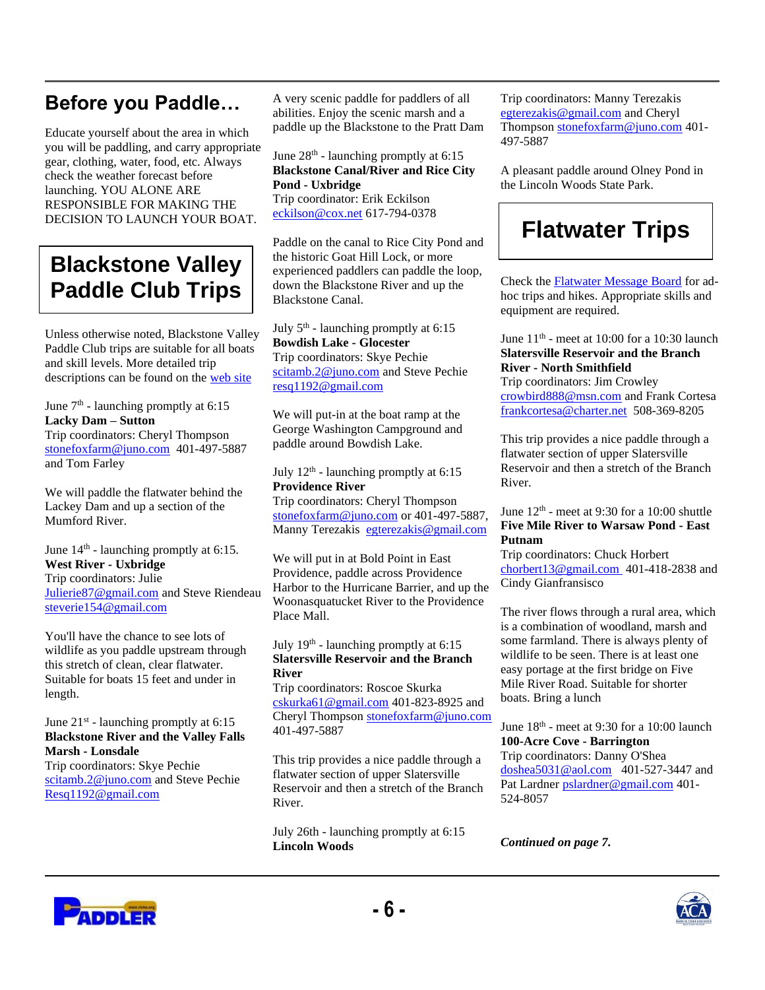## **Before you Paddle…**

Educate yourself about the area in which you will be paddling, and carry appropriate gear, clothing, water, food, etc. Always check the weather forecast before launching. YOU ALONE ARE RESPONSIBLE FOR MAKING THE DECISION TO LAUNCH YOUR BOAT.

## **Blackstone Valley Paddle Club Trips**

Unless otherwise noted, Blackstone Valley Paddle Club trips are suitable for all boats and skill levels. More detailed trip descriptions can be found on the [web site](http://www.ricka-flatwater.org/bvpaddlers.htm)

June  $7<sup>th</sup>$  - launching promptly at 6:15 **Lacky Dam – Sutton** Trip coordinators: Cheryl Thompson [stonefoxfarm@juno.com](mailto:stonefoxfarm@juno.com) 401-497-5887 and Tom Farley

We will paddle the flatwater behind the Lackey Dam and up a section of the Mumford River.

June 14<sup>th</sup> - launching promptly at 6:15. **West River - Uxbridge** Trip coordinators: Julie [Julierie87@gmail.com](mailto:Julierie87@gmail.com) and Steve Riendeau [steverie154@gmail.com](mailto:steverie154@gmail.com)

You'll have the chance to see lots of wildlife as you paddle upstream through this stretch of clean, clear flatwater. Suitable for boats 15 feet and under in length.

#### June 21<sup>st</sup> - launching promptly at 6:15 **Blackstone River and the Valley Falls Marsh - Lonsdale**

Trip coordinators: Skye Pechie [scitamb.2@juno.com](mailto:scitamb.2@juno.com) and Steve Pechie [Resq1192@gmail.com](mailto:Resq1192@gmail.com)

A very scenic paddle for paddlers of all abilities. Enjoy the scenic marsh and a paddle up the Blackstone to the Pratt Dam

June  $28<sup>th</sup>$  - launching promptly at 6:15 **Blackstone Canal/River and Rice City Pond - Uxbridge**

Trip coordinator: Erik Eckilson [eckilson@cox.net](mailto:eckilson@cox.net) 617-794-0378

Paddle on the canal to Rice City Pond and the historic Goat Hill Lock, or more experienced paddlers can paddle the loop, down the Blackstone River and up the Blackstone Canal.

July  $5<sup>th</sup>$  - launching promptly at 6:15 **Bowdish Lake - Glocester**  Trip coordinators: Skye Pechie [scitamb.2@juno.com](mailto:scitamb.2@juno.com) and Steve Pechie [resq1192@gmail.com](mailto:resq1192@gmail.com)

We will put-in at the boat ramp at the George Washington Campground and paddle around Bowdish Lake.

July  $12<sup>th</sup>$  - launching promptly at 6:15 **Providence River**

Trip coordinators: Cheryl Thompson [stonefoxfarm@juno.com](mailto:stonefoxfarm@juno.com) or 401-497-5887, Manny Terezakis [egterezakis@gmail.com](mailto:egterezakis@gmail.com)

We will put in at Bold Point in East Providence, paddle across Providence Harbor to the Hurricane Barrier, and up the Woonasquatucket River to the Providence Place Mall.

#### July 19<sup>th</sup> - launching promptly at 6:15 **Slatersville Reservoir and the Branch River**

Trip coordinators: Roscoe Skurka [cskurka61@gmail.com](mailto:cskurka61@gmail.com) 401-823-8925 and Cheryl Thompson [stonefoxfarm@juno.com](mailto:stonefoxfarm@juno.com) 401-497-5887

This trip provides a nice paddle through a flatwater section of upper Slatersville Reservoir and then a stretch of the Branch River.

July 26th - launching promptly at 6:15 **Lincoln Woods**

Trip coordinators: Manny Terezakis [egterezakis@gmail.com](mailto:egterezakis@gmail.com) and Cheryl Thompson [stonefoxfarm@juno.com](mailto:stonefoxfarm@juno.com) 401- 497-5887

A pleasant paddle around Olney Pond in the Lincoln Woods State Park.

## **Flatwater Trips**

Check th[e Flatwater Message Board](http://members.boardhost.com/FLATWATER/) for adhoc trips and hikes. Appropriate skills and equipment are required.

June  $11<sup>th</sup>$  - meet at 10:00 for a 10:30 launch **Slatersville Reservoir and the Branch River - North Smithfield**

Trip coordinators: Jim Crowley [crowbird888@msn.com](mailto:crowbird888@msn.com) and Frank Cortesa [frankcortesa@charter.net](mailto:frankcortesa@charter.net) 508-369-8205

This trip provides a nice paddle through a flatwater section of upper Slatersville Reservoir and then a stretch of the Branch River.

#### June  $12<sup>th</sup>$  - meet at 9:30 for a 10:00 shuttle **Five Mile River to Warsaw Pond - East Putnam**

Trip coordinators: Chuck Horbert [chorbert13@gmail.com 4](mailto:chorbert13@gmail.com)01-418-2838 and Cindy Gianfransisco

The river flows through a rural area, which is a combination of woodland, marsh and some farmland. There is always plenty of wildlife to be seen. There is at least one easy portage at the first bridge on Five Mile River Road. Suitable for shorter boats. Bring a lunch

June  $18<sup>th</sup>$  - meet at 9:30 for a 10:00 launch **100-Acre Cove - Barrington**

Trip coordinators: Danny O'Shea [doshea5031@aol.com](mailto:doshea5031@aol.com) 401-527-3447 and Pat Lardner [pslardner@gmail.com](mailto:pslardner@gmail.com) 401- 524-8057

*Continued on page 7.*



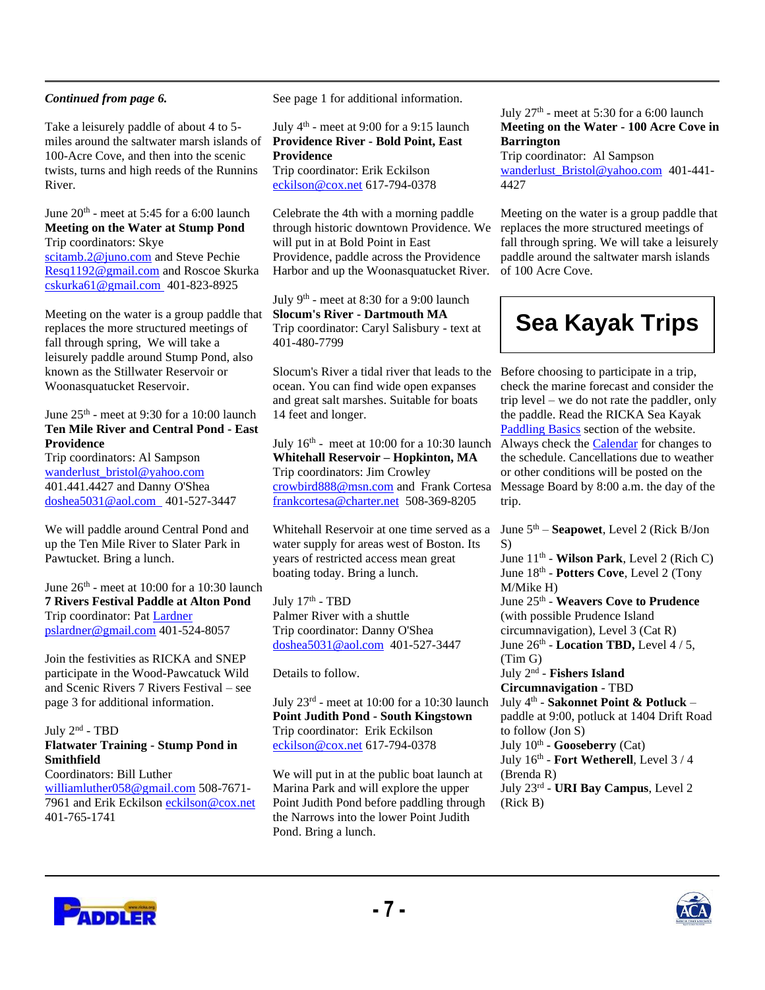#### *Continued from page 6.*

Take a leisurely paddle of about 4 to 5 miles around the saltwater marsh islands of 100-Acre Cove, and then into the scenic twists, turns and high reeds of the Runnins River.

June  $20<sup>th</sup>$  - meet at 5:45 for a 6:00 launch **Meeting on the Water at Stump Pond** Trip coordinators: Skye [scitamb.2@juno.com](mailto:scitamb.2@juno.com) and Steve Pechie [Resq1192@gmail.com](mailto:eckilson@cox.net) and Roscoe Skurka [cskurka61@gmail.com 4](mailto:cskurka61@gmail.com)01-823-8925

Meeting on the water is a group paddle that replaces the more structured meetings of fall through spring, We will take a leisurely paddle around Stump Pond, also known as the Stillwater Reservoir or Woonasquatucket Reservoir.

#### June  $25^{\text{th}}$  - meet at 9:30 for a 10:00 launch **Ten Mile River and Central Pond - East Providence**

Trip coordinators: Al Sampson wanderlust\_bristol@yahoo.com 401.441.4427 and Danny O'Shea [doshea5031@aol.com](mailto:doshea5031@aol.com) 401-527-3447

We will paddle around Central Pond and up the Ten Mile River to Slater Park in Pawtucket. Bring a lunch.

June  $26^{th}$  - meet at 10:00 for a 10:30 launch **7 Rivers Festival Paddle at Alton Pond** Trip coordinator: Pat [Lardner](mailto:pslardner@gmail.com)  [pslardner@gmail.com](mailto:pslardner@gmail.com) 401-524-8057

Join the festivities as RICKA and SNEP participate in the Wood-Pawcatuck Wild and Scenic Rivers 7 Rivers Festival – see page 3 for additional information.

#### July 2<sup>nd</sup> - TBD **Flatwater Training - Stump Pond in Smithfield**

Coordinators: Bill Luther [williamluther058@gmail.com](mailto:williamluther058@gmail.com) 508-7671-7961 and Erik Eckilso[n eckilson@cox.net](mailto:eckilson@cox.net) 401-765-1741

See page 1 for additional information.

July 4<sup>th</sup> - meet at 9:00 for a 9:15 launch **Providence River - Bold Point, East Providence** Trip coordinator: Erik Eckilson [eckilson@cox.net](mailto:eckilson@cox.net) 617-794-0378

Celebrate the 4th with a morning paddle through historic downtown Providence. We will put in at Bold Point in East Providence, paddle across the Providence Harbor and up the Woonasquatucket River.

July 9<sup>th</sup> - meet at 8:30 for a 9:00 launch **Slocum's River - Dartmouth MA** Trip coordinator: Caryl Salisbury - text at 401-480-7799

Slocum's River a tidal river that leads to the Before choosing to participate in a trip, ocean. You can find wide open expanses and great salt marshes. Suitable for boats 14 feet and longer.

July  $16<sup>th</sup>$  - meet at 10:00 for a 10:30 launch **Whitehall Reservoir – Hopkinton, MA** Trip coordinators: Jim Crowley [crowbird888@msn.com](mailto:crowbird888@msn.com) and Frank Cortesa [frankcortesa@charter.net](mailto:frankcortesa@charter.net) 508-369-8205

Whitehall Reservoir at one time served as a water supply for areas west of Boston. Its years of restricted access mean great boating today. Bring a lunch.

July 17<sup>th</sup> - TBD Palmer River with a shuttle Trip coordinator: Danny O'Shea [doshea5031@aol.com](mailto:doshea5031@aol.com) 401-527-3447

Details to follow.

July 23rd - meet at 10:00 for a 10:30 launch **Point Judith Pond - South Kingstown** Trip coordinator: Erik Eckilson [eckilson@cox.net](mailto:eckilson@cox.net) 617-794-0378

We will put in at the public boat launch at Marina Park and will explore the upper Point Judith Pond before paddling through the Narrows into the lower Point Judith Pond. Bring a lunch.

#### July  $27<sup>th</sup>$  - meet at 5:30 for a 6:00 launch **Meeting on the Water - 100 Acre Cove in Barrington**

Trip coordinator: Al Sampson wanderlust Bristol@yahoo.com 401-441-4427

Meeting on the water is a group paddle that replaces the more structured meetings of fall through spring. We will take a leisurely paddle around the saltwater marsh islands of 100 Acre Cove.

## **Sea Kayak Trips**

check the marine forecast and consider the trip level – we do not rate the paddler, only the paddle. Read the RICKA Sea Kayak [Paddling Basics](http://www.rickaseakayaking.org/basics.htm) section of the website. Always check the [Calendar](https://rickaseakayaking.org/forum2/calendar.php) for changes to the schedule. Cancellations due to weather or other conditions will be posted on the Message Board by 8:00 a.m. the day of the trip.

June 5th – **Seapowet**, Level 2 (Rick B/Jon S) June 11th - **Wilson Park**, Level 2 (Rich C) June 18<sup>th</sup> - **Potters Cove**, Level 2 (Tony M/Mike H) June 25<sup>th</sup> - Weavers Cove to Prudence (with possible Prudence Island circumnavigation), Level 3 (Cat R) June 26<sup>th</sup> - **Location TBD**, Level 4 / 5, (Tim G) July 2nd - **Fishers Island Circumnavigation** - TBD July 4th - **Sakonnet Point & Potluck** – paddle at 9:00, potluck at 1404 Drift Road to follow (Jon S) July 10<sup>th</sup> - Gooseberry (Cat) July 16th - **Fort Wetherell**, Level 3 / 4 (Brenda R) July 23rd - **URI Bay Campus**, Level 2 (Rick B)